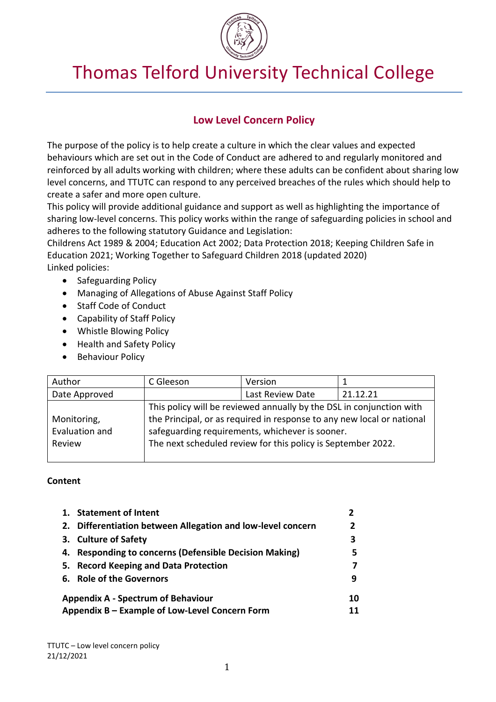

# Thomas Telford University Technical College

# **Low Level Concern Policy**

The purpose of the policy is to help create a culture in which the clear values and expected behaviours which are set out in the Code of Conduct are adhered to and regularly monitored and reinforced by all adults working with children; where these adults can be confident about sharing low level concerns, and TTUTC can respond to any perceived breaches of the rules which should help to create a safer and more open culture.

This policy will provide additional guidance and support as well as highlighting the importance of sharing low-level concerns. This policy works within the range of safeguarding policies in school and adheres to the following statutory Guidance and Legislation:

Childrens Act 1989 & 2004; Education Act 2002; Data Protection 2018; Keeping Children Safe in Education 2021; Working Together to Safeguard Children 2018 (updated 2020) Linked policies:

- Safeguarding Policy
- Managing of Allegations of Abuse Against Staff Policy
- Staff Code of Conduct
- Capability of Staff Policy
- Whistle Blowing Policy
- Health and Safety Policy
- Behaviour Policy

| Author                                  | C Gleeson                                                                                                                                                                                                                                                         | Version          |          |
|-----------------------------------------|-------------------------------------------------------------------------------------------------------------------------------------------------------------------------------------------------------------------------------------------------------------------|------------------|----------|
| Date Approved                           |                                                                                                                                                                                                                                                                   | Last Review Date | 21.12.21 |
| Monitoring,<br>Evaluation and<br>Review | This policy will be reviewed annually by the DSL in conjunction with<br>the Principal, or as required in response to any new local or national<br>safeguarding requirements, whichever is sooner.<br>The next scheduled review for this policy is September 2022. |                  |          |

### **Content**

|                                                | 1. Statement of Intent                                      |               |
|------------------------------------------------|-------------------------------------------------------------|---------------|
|                                                | 2. Differentiation between Allegation and low-level concern | $\mathfrak z$ |
| 3.                                             | <b>Culture of Safety</b>                                    | 3             |
| 4.                                             | <b>Responding to concerns (Defensible Decision Making)</b>  | 5             |
| 5.                                             | <b>Record Keeping and Data Protection</b>                   |               |
|                                                | 6. Role of the Governors                                    | q             |
| <b>Appendix A - Spectrum of Behaviour</b>      |                                                             | 10            |
| Appendix B – Example of Low-Level Concern Form |                                                             |               |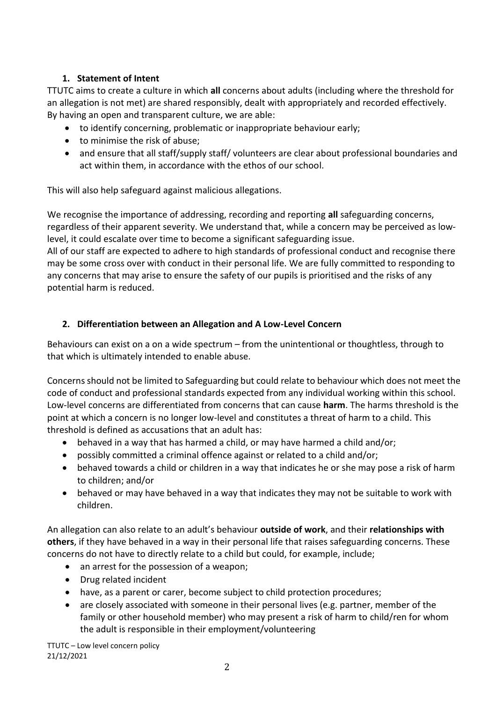# **1. Statement of Intent**

TTUTC aims to create a culture in which **all** concerns about adults (including where the threshold for an allegation is not met) are shared responsibly, dealt with appropriately and recorded effectively. By having an open and transparent culture, we are able:

- to identify concerning, problematic or inappropriate behaviour early;
- to minimise the risk of abuse;
- and ensure that all staff/supply staff/ volunteers are clear about professional boundaries and act within them, in accordance with the ethos of our school.

This will also help safeguard against malicious allegations.

We recognise the importance of addressing, recording and reporting **all** safeguarding concerns, regardless of their apparent severity. We understand that, while a concern may be perceived as lowlevel, it could escalate over time to become a significant safeguarding issue.

All of our staff are expected to adhere to high standards of professional conduct and recognise there may be some cross over with conduct in their personal life. We are fully committed to responding to any concerns that may arise to ensure the safety of our pupils is prioritised and the risks of any potential harm is reduced.

# **2. Differentiation between an Allegation and A Low-Level Concern**

Behaviours can exist on a on a wide spectrum – from the unintentional or thoughtless, through to that which is ultimately intended to enable abuse.

Concerns should not be limited to Safeguarding but could relate to behaviour which does not meet the code of conduct and professional standards expected from any individual working within this school. Low-level concerns are differentiated from concerns that can cause **harm**. The harms threshold is the point at which a concern is no longer low-level and constitutes a threat of harm to a child. This threshold is defined as accusations that an adult has:

- behaved in a way that has harmed a child, or may have harmed a child and/or;
- possibly committed a criminal offence against or related to a child and/or;
- behaved towards a child or children in a way that indicates he or she may pose a risk of harm to children; and/or
- behaved or may have behaved in a way that indicates they may not be suitable to work with children.

An allegation can also relate to an adult's behaviour **outside of work**, and their **relationships with others**, if they have behaved in a way in their personal life that raises safeguarding concerns. These concerns do not have to directly relate to a child but could, for example, include;

- an arrest for the possession of a weapon;
- Drug related incident
- have, as a parent or carer, become subject to child protection procedures;
- are closely associated with someone in their personal lives (e.g. partner, member of the family or other household member) who may present a risk of harm to child/ren for whom the adult is responsible in their employment/volunteering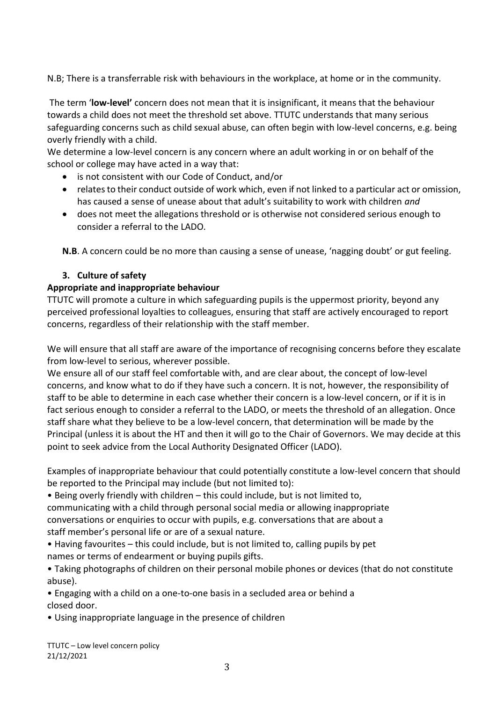N.B; There is a transferrable risk with behaviours in the workplace, at home or in the community.

The term '**low-level'** concern does not mean that it is insignificant, it means that the behaviour towards a child does not meet the threshold set above. TTUTC understands that many serious safeguarding concerns such as child sexual abuse, can often begin with low-level concerns, e.g. being overly friendly with a child.

We determine a low-level concern is any concern where an adult working in or on behalf of the school or college may have acted in a way that:

- is not consistent with our Code of Conduct, and/or
- relates to their conduct outside of work which, even if not linked to a particular act or omission, has caused a sense of unease about that adult's suitability to work with children *and*
- does not meet the allegations threshold or is otherwise not considered serious enough to consider a referral to the LADO*.*

**N.B**. A concern could be no more than causing a sense of unease, 'nagging doubt' or gut feeling.

## **3. Culture of safety**

### **Appropriate and inappropriate behaviour**

TTUTC will promote a culture in which safeguarding pupils is the uppermost priority, beyond any perceived professional loyalties to colleagues, ensuring that staff are actively encouraged to report concerns, regardless of their relationship with the staff member.

We will ensure that all staff are aware of the importance of recognising concerns before they escalate from low-level to serious, wherever possible.

We ensure all of our staff feel comfortable with, and are clear about, the concept of low-level concerns, and know what to do if they have such a concern. It is not, however, the responsibility of staff to be able to determine in each case whether their concern is a low-level concern, or if it is in fact serious enough to consider a referral to the LADO, or meets the threshold of an allegation. Once staff share what they believe to be a low-level concern, that determination will be made by the Principal (unless it is about the HT and then it will go to the Chair of Governors. We may decide at this point to seek advice from the Local Authority Designated Officer (LADO).

Examples of inappropriate behaviour that could potentially constitute a low-level concern that should be reported to the Principal may include (but not limited to):

• Being overly friendly with children – this could include, but is not limited to, communicating with a child through personal social media or allowing inappropriate conversations or enquiries to occur with pupils, e.g. conversations that are about a staff member's personal life or are of a sexual nature.

• Having favourites – this could include, but is not limited to, calling pupils by pet names or terms of endearment or buying pupils gifts.

• Taking photographs of children on their personal mobile phones or devices (that do not constitute abuse).

• Engaging with a child on a one-to-one basis in a secluded area or behind a closed door.

• Using inappropriate language in the presence of children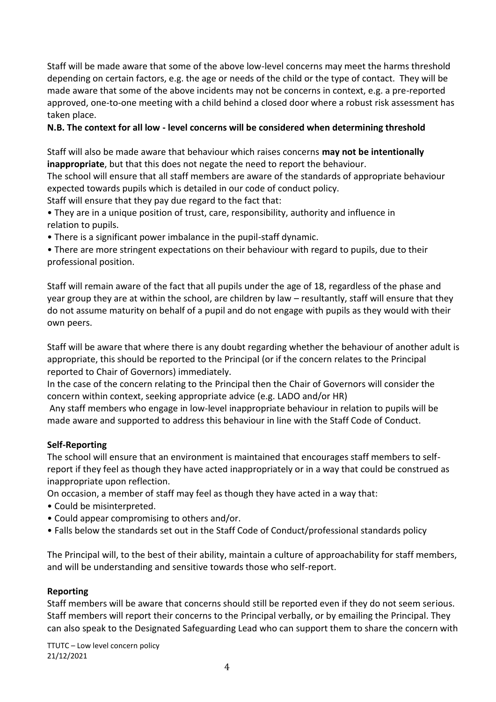Staff will be made aware that some of the above low-level concerns may meet the harms threshold depending on certain factors, e.g. the age or needs of the child or the type of contact. They will be made aware that some of the above incidents may not be concerns in context, e.g. a pre-reported approved, one-to-one meeting with a child behind a closed door where a robust risk assessment has taken place.

## **N.B. The context for all low - level concerns will be considered when determining threshold**

Staff will also be made aware that behaviour which raises concerns **may not be intentionally inappropriate**, but that this does not negate the need to report the behaviour.

The school will ensure that all staff members are aware of the standards of appropriate behaviour expected towards pupils which is detailed in our code of conduct policy.

Staff will ensure that they pay due regard to the fact that:

- They are in a unique position of trust, care, responsibility, authority and influence in relation to pupils.
- There is a significant power imbalance in the pupil-staff dynamic.

• There are more stringent expectations on their behaviour with regard to pupils, due to their professional position.

Staff will remain aware of the fact that all pupils under the age of 18, regardless of the phase and year group they are at within the school, are children by law – resultantly, staff will ensure that they do not assume maturity on behalf of a pupil and do not engage with pupils as they would with their own peers.

Staff will be aware that where there is any doubt regarding whether the behaviour of another adult is appropriate, this should be reported to the Principal (or if the concern relates to the Principal reported to Chair of Governors) immediately.

In the case of the concern relating to the Principal then the Chair of Governors will consider the concern within context, seeking appropriate advice (e.g. LADO and/or HR)

Any staff members who engage in low-level inappropriate behaviour in relation to pupils will be made aware and supported to address this behaviour in line with the Staff Code of Conduct.

### **Self-Reporting**

The school will ensure that an environment is maintained that encourages staff members to selfreport if they feel as though they have acted inappropriately or in a way that could be construed as inappropriate upon reflection.

On occasion, a member of staff may feel as though they have acted in a way that:

- Could be misinterpreted.
- Could appear compromising to others and/or.
- Falls below the standards set out in the Staff Code of Conduct/professional standards policy

The Principal will, to the best of their ability, maintain a culture of approachability for staff members, and will be understanding and sensitive towards those who self-report.

### **Reporting**

Staff members will be aware that concerns should still be reported even if they do not seem serious. Staff members will report their concerns to the Principal verbally, or by emailing the Principal. They can also speak to the Designated Safeguarding Lead who can support them to share the concern with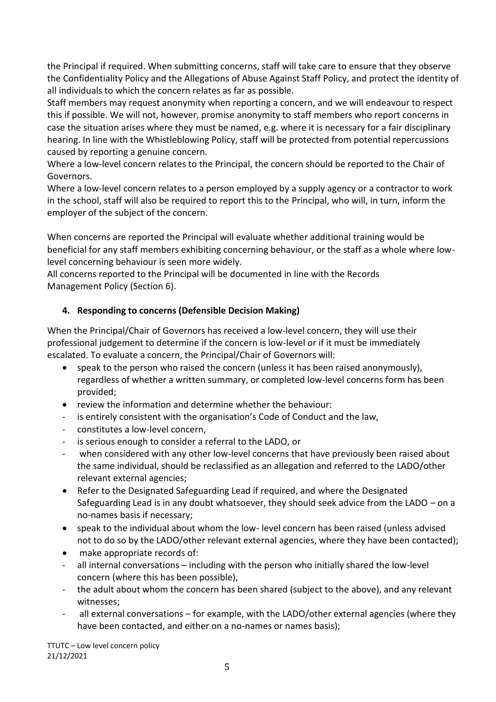the Principal if required. When submitting concerns, staff will take care to ensure that they observe the Confidentiality Policy and the Allegations of Abuse Against Staff Policy, and protect the identity of all individuals to which the concern relates as far as possible.

Staff members may request anonymity when reporting a concern, and we will endeavour to respect this if possible. We will not, however, promise anonymity to staff members who report concerns in case the situation arises where they must be named, e.g. where it is necessary for a fair disciplinary hearing. In line with the Whistleblowing Policy, staff will be protected from potential repercussions caused by reporting a genuine concern.

Where a low-level concern relates to the Principal, the concern should be reported to the Chair of Governors.

Where a low-level concern relates to a person employed by a supply agency or a contractor to work in the school, staff will also be required to report this to the Principal, who will, in turn, inform the employer of the subject of the concern.

When concerns are reported the Principal will evaluate whether additional training would be beneficial for any staff members exhibiting concerning behaviour, or the staff as a whole where lowlevel concerning behaviour is seen more widely.

All concerns reported to the Principal will be documented in line with the Records Management Policy (Section 6).

# **4. Responding to concerns (Defensible Decision Making)**

When the Principal/Chair of Governors has received a low-level concern, they will use their professional judgement to determine if the concern is low-level or if it must be immediately escalated. To evaluate a concern, the Principal/Chair of Governors will:

- speak to the person who raised the concern (unless it has been raised anonymously), regardless of whether a written summary, or completed low-level concerns form has been provided;
- review the information and determine whether the behaviour:
- is entirely consistent with the organisation's Code of Conduct and the law,
- constitutes a low-level concern,
- is serious enough to consider a referral to the LADO, or
- when considered with any other low-level concerns that have previously been raised about the same individual, should be reclassified as an allegation and referred to the LADO/other relevant external agencies;
- Refer to the Designated Safeguarding Lead if required, and where the Designated Safeguarding Lead is in any doubt whatsoever, they should seek advice from the LADO – on a no-names basis if necessary;
- speak to the individual about whom the low- level concern has been raised (unless advised not to do so by the LADO/other relevant external agencies, where they have been contacted);
- make appropriate records of:
- all internal conversations including with the person who initially shared the low-level concern (where this has been possible),
- the adult about whom the concern has been shared (subject to the above), and any relevant witnesses;
- all external conversations for example, with the LADO/other external agencies (where they have been contacted, and either on a no-names or names basis);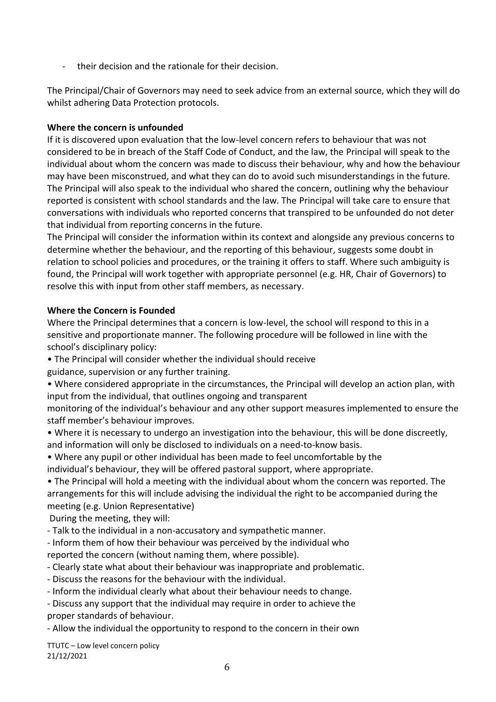- their decision and the rationale for their decision.

The Principal/Chair of Governors may need to seek advice from an external source, which they will do whilst adhering Data Protection protocols.

### **Where the concern is unfounded**

If it is discovered upon evaluation that the low-level concern refers to behaviour that was not considered to be in breach of the Staff Code of Conduct, and the law, the Principal will speak to the individual about whom the concern was made to discuss their behaviour, why and how the behaviour may have been misconstrued, and what they can do to avoid such misunderstandings in the future. The Principal will also speak to the individual who shared the concern, outlining why the behaviour reported is consistent with school standards and the law. The Principal will take care to ensure that conversations with individuals who reported concerns that transpired to be unfounded do not deter that individual from reporting concerns in the future.

The Principal will consider the information within its context and alongside any previous concerns to determine whether the behaviour, and the reporting of this behaviour, suggests some doubt in relation to school policies and procedures, or the training it offers to staff. Where such ambiguity is found, the Principal will work together with appropriate personnel (e.g. HR, Chair of Governors) to resolve this with input from other staff members, as necessary.

#### **Where the Concern is Founded**

Where the Principal determines that a concern is low-level, the school will respond to this in a sensitive and proportionate manner. The following procedure will be followed in line with the school's disciplinary policy:

• The Principal will consider whether the individual should receive

guidance, supervision or any further training.

• Where considered appropriate in the circumstances, the Principal will develop an action plan, with input from the individual, that outlines ongoing and transparent

monitoring of the individual's behaviour and any other support measures implemented to ensure the staff member's behaviour improves.

- Where it is necessary to undergo an investigation into the behaviour, this will be done discreetly, and information will only be disclosed to individuals on a need-to-know basis.
- Where any pupil or other individual has been made to feel uncomfortable by the

individual's behaviour, they will be offered pastoral support, where appropriate.

• The Principal will hold a meeting with the individual about whom the concern was reported. The arrangements for this will include advising the individual the right to be accompanied during the meeting (e.g. Union Representative)

During the meeting, they will:

- Talk to the individual in a non-accusatory and sympathetic manner.
- Inform them of how their behaviour was perceived by the individual who
- reported the concern (without naming them, where possible).
- Clearly state what about their behaviour was inappropriate and problematic.
- Discuss the reasons for the behaviour with the individual.
- Inform the individual clearly what about their behaviour needs to change.

- Discuss any support that the individual may require in order to achieve the proper standards of behaviour.

- Allow the individual the opportunity to respond to the concern in their own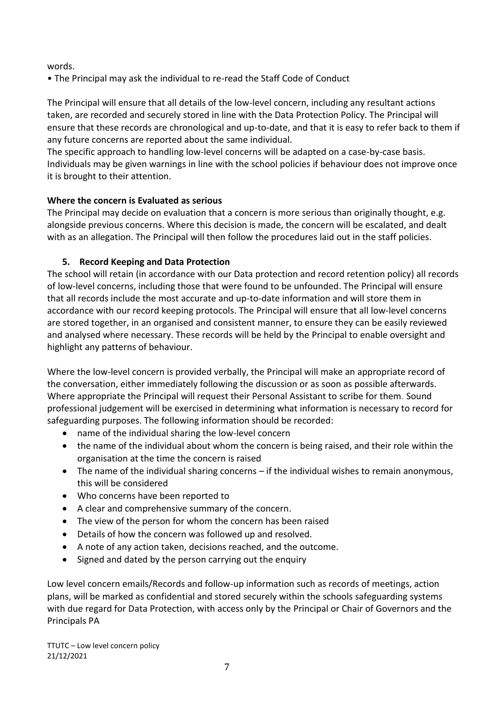words.

• The Principal may ask the individual to re-read the Staff Code of Conduct

The Principal will ensure that all details of the low-level concern, including any resultant actions taken, are recorded and securely stored in line with the Data Protection Policy. The Principal will ensure that these records are chronological and up-to-date, and that it is easy to refer back to them if any future concerns are reported about the same individual.

The specific approach to handling low-level concerns will be adapted on a case-by-case basis. Individuals may be given warnings in line with the school policies if behaviour does not improve once it is brought to their attention.

# **Where the concern is Evaluated as serious**

The Principal may decide on evaluation that a concern is more serious than originally thought, e.g. alongside previous concerns. Where this decision is made, the concern will be escalated, and dealt with as an allegation. The Principal will then follow the procedures laid out in the staff policies.

# **5. Record Keeping and Data Protection**

The school will retain (in accordance with our Data protection and record retention policy) all records of low-level concerns, including those that were found to be unfounded. The Principal will ensure that all records include the most accurate and up-to-date information and will store them in accordance with our record keeping protocols. The Principal will ensure that all low-level concerns are stored together, in an organised and consistent manner, to ensure they can be easily reviewed and analysed where necessary. These records will be held by the Principal to enable oversight and highlight any patterns of behaviour.

Where the low-level concern is provided verbally, the Principal will make an appropriate record of the conversation, either immediately following the discussion or as soon as possible afterwards. Where appropriate the Principal will request their Personal Assistant to scribe for them. Sound professional judgement will be exercised in determining what information is necessary to record for safeguarding purposes. The following information should be recorded:

- name of the individual sharing the low-level concern
- the name of the individual about whom the concern is being raised, and their role within the organisation at the time the concern is raised
- The name of the individual sharing concerns if the individual wishes to remain anonymous, this will be considered
- Who concerns have been reported to
- A clear and comprehensive summary of the concern.
- The view of the person for whom the concern has been raised
- Details of how the concern was followed up and resolved.
- A note of any action taken, decisions reached, and the outcome.
- Signed and dated by the person carrying out the enquiry

Low level concern emails/Records and follow-up information such as records of meetings, action plans, will be marked as confidential and stored securely within the schools safeguarding systems with due regard for Data Protection, with access only by the Principal or Chair of Governors and the Principals PA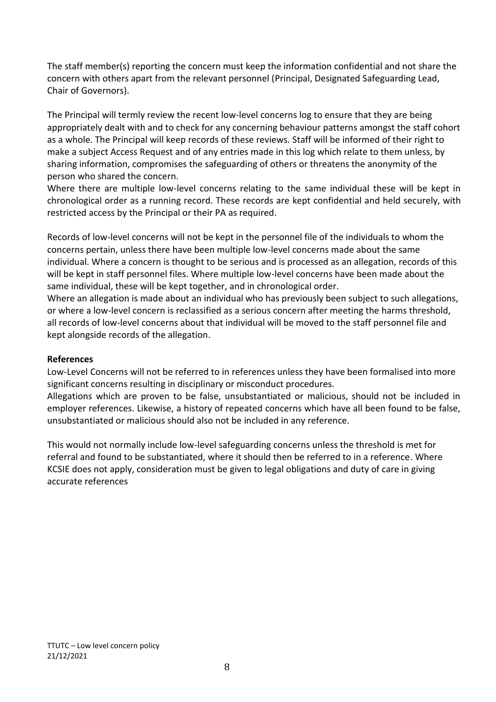The staff member(s) reporting the concern must keep the information confidential and not share the concern with others apart from the relevant personnel (Principal, Designated Safeguarding Lead, Chair of Governors).

The Principal will termly review the recent low-level concerns log to ensure that they are being appropriately dealt with and to check for any concerning behaviour patterns amongst the staff cohort as a whole. The Principal will keep records of these reviews. Staff will be informed of their right to make a subject Access Request and of any entries made in this log which relate to them unless, by sharing information, compromises the safeguarding of others or threatens the anonymity of the person who shared the concern.

Where there are multiple low-level concerns relating to the same individual these will be kept in chronological order as a running record. These records are kept confidential and held securely, with restricted access by the Principal or their PA as required.

Records of low-level concerns will not be kept in the personnel file of the individuals to whom the concerns pertain, unless there have been multiple low-level concerns made about the same individual. Where a concern is thought to be serious and is processed as an allegation, records of this will be kept in staff personnel files. Where multiple low-level concerns have been made about the same individual, these will be kept together, and in chronological order.

Where an allegation is made about an individual who has previously been subject to such allegations, or where a low-level concern is reclassified as a serious concern after meeting the harms threshold, all records of low-level concerns about that individual will be moved to the staff personnel file and kept alongside records of the allegation.

### **References**

Low-Level Concerns will not be referred to in references unless they have been formalised into more significant concerns resulting in disciplinary or misconduct procedures.

Allegations which are proven to be false, unsubstantiated or malicious, should not be included in employer references. Likewise, a history of repeated concerns which have all been found to be false, unsubstantiated or malicious should also not be included in any reference.

This would not normally include low-level safeguarding concerns unless the threshold is met for referral and found to be substantiated, where it should then be referred to in a reference. Where KCSIE does not apply, consideration must be given to legal obligations and duty of care in giving accurate references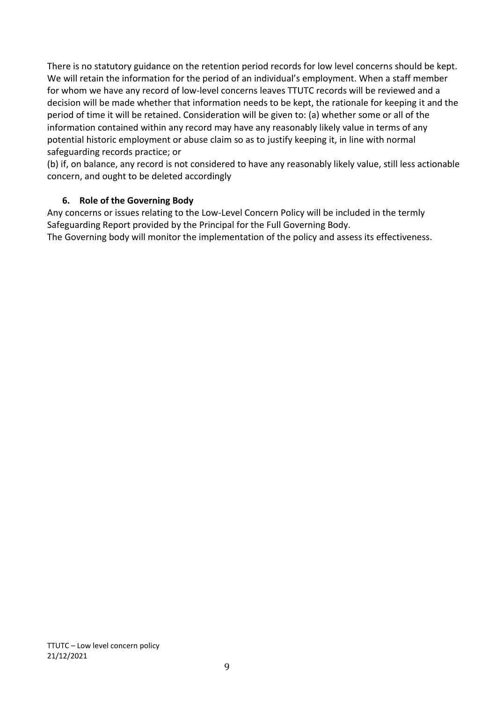There is no statutory guidance on the retention period records for low level concerns should be kept. We will retain the information for the period of an individual's employment. When a staff member for whom we have any record of low-level concerns leaves TTUTC records will be reviewed and a decision will be made whether that information needs to be kept, the rationale for keeping it and the period of time it will be retained. Consideration will be given to: (a) whether some or all of the information contained within any record may have any reasonably likely value in terms of any potential historic employment or abuse claim so as to justify keeping it, in line with normal safeguarding records practice; or

(b) if, on balance, any record is not considered to have any reasonably likely value, still less actionable concern, and ought to be deleted accordingly

# **6. Role of the Governing Body**

Any concerns or issues relating to the Low-Level Concern Policy will be included in the termly Safeguarding Report provided by the Principal for the Full Governing Body.

The Governing body will monitor the implementation of the policy and assess its effectiveness.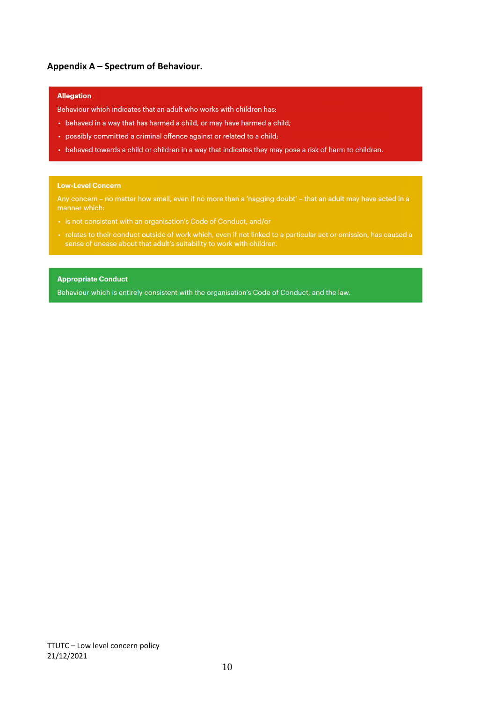#### **Appendix A – Spectrum of Behaviour.**

#### **Allegation**

Behaviour which indicates that an adult who works with children has:

- behaved in a way that has harmed a child, or may have harmed a child;
- possibly committed a criminal offence against or related to a child;
- behaved towards a child or children in a way that indicates they may pose a risk of harm to children.

#### **Low-Level Concern**

Any concern - no matter how small, even if no more than a 'nagging doubt' - that an adult may have acted in a

- 
- sense of unease about that adult's suitability to work with children.

#### **Appropriate Conduct**

Behaviour which is entirely consistent with the organisation's Code of Conduct, and the law.